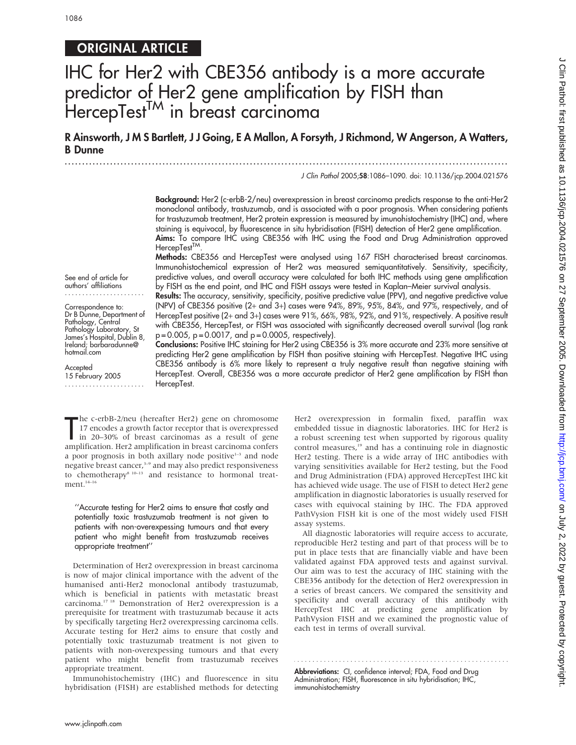# ORIGINAL ARTICLE

# IHC for Her2 with CBE356 antibody is a more accurate predictor of Her2 gene amplification by FISH than HercepTest<sup>TM</sup> in breast carcinoma

R Ainsworth, J M S Bartlett, J J Going, E A Mallon, A Forsyth, J Richmond, W Angerson, A Watters, B Dunne

...............................................................................................................................

J Clin Pathol 2005;58:1086–1090. doi: 10.1136/jcp.2004.021576

Background: Her2 (c-erbB-2/neu) overexpression in breast carcinoma predicts response to the anti-Her2 monoclonal antibody, trastuzumab, and is associated with a poor prognosis. When considering patients for trastuzumab treatment, Her2 protein expression is measured by imunohistochemistry (IHC) and, where staining is equivocal, by fluorescence in situ hybridisation (FISH) detection of Her2 gene amplification. Aims: To compare IHC using CBE356 with IHC using the Food and Drug Administration approved HercepTest<sup>TM</sup>.

Methods: CBE356 and HercepTest were analysed using 167 FISH characterised breast carcinomas. Immunohistochemical expression of Her2 was measured semiquantitatively. Sensitivity, specificity, predictive values, and overall accuracy were calculated for both IHC methods using gene amplification by FISH as the end point, and IHC and FISH assays were tested in Kaplan–Meier survival analysis.

Results: The accuracy, sensitivity, specificity, positive predictive value (PPV), and negative predictive value (NPV) of CBE356 positive (2+ and 3+) cases were 94%, 89%, 95%, 84%, and 97%, respectively, and of HercepTest positive (2+ and 3+) cases were 91%, 66%, 98%, 92%, and 91%, respectively. A positive result with CBE356, HercepTest, or FISH was associated with significantly decreased overall survival (log rank  $p = 0.005$ ,  $p = 0.0017$ , and  $p = 0.0005$ , respectively).

See end of article for authors' affiliations

Correspondence to: Dr B Dunne, Department of Pathology, Central Pathology Laboratory, St James's Hospital, Dublin 8, Ireland; barbaradunne@ hotmail.com

**Accepted** 15 February 2005 .......................

Conclusions: Positive IHC staining for Her2 using CBE356 is 3% more accurate and 23% more sensitive at predicting Her2 gene amplification by FISH than positive staining with HercepTest. Negative IHC using CBE356 antibody is 6% more likely to represent a truly negative result than negative staining with HercepTest. Overall, CBE356 was a more accurate predictor of Her2 gene amplification by FISH than HercepTest.

The c-erbB-2/neu (hereafter Her2) gene on chromosome<br>17 encodes a growth factor receptor that is overexpressed<br>in 20–30% of breast carcinomas as a result of gene<br>amplification. Her2 amplification in breast carcinoma confer he c-erbB-2/neu (hereafter Her2) gene on chromosome 17 encodes a growth factor receptor that is overexpressed in 20–30% of breast carcinomas as a result of gene a poor prognosis in both axillary node positive<sup>1-3</sup> and node negative breast cancer,<sup>3-9</sup> and may also predict responsiveness to chemotherapy<sup>8 10–13</sup> and resistance to hormonal treatment.<sup>14–16</sup>

''Accurate testing for Her2 aims to ensure that costly and potentially toxic trastuzumab treatment is not given to patients with non-overexpessing tumours and that every patient who might benefit from trastuzumab receives appropriate treatment''

Determination of Her2 overexpression in breast carcinoma is now of major clinical importance with the advent of the humanised anti-Her2 monoclonal antibody trastuzumab, which is beneficial in patients with metastatic breast carcinoma.17 18 Demonstration of Her2 overexpression is a prerequisite for treatment with trastuzumab because it acts by specifically targeting Her2 overexpressing carcinoma cells. Accurate testing for Her2 aims to ensure that costly and potentially toxic trastuzumab treatment is not given to patients with non-overexpessing tumours and that every patient who might benefit from trastuzumab receives appropriate treatment.

Immunohistochemistry (IHC) and fluorescence in situ hybridisation (FISH) are established methods for detecting Her2 overexpression in formalin fixed, paraffin wax embedded tissue in diagnostic laboratories. IHC for Her2 is a robust screening test when supported by rigorous quality control measures,<sup>19</sup> and has a continuing role in diagnostic Her2 testing. There is a wide array of IHC antibodies with varying sensitivities available for Her2 testing, but the Food and Drug Administration (FDA) approved HercepTest IHC kit has achieved wide usage. The use of FISH to detect Her2 gene amplification in diagnostic laboratories is usually reserved for cases with equivocal staining by IHC. The FDA approved PathVysion FISH kit is one of the most widely used FISH assay systems.

All diagnostic laboratories will require access to accurate, reproducible Her2 testing and part of that process will be to put in place tests that are financially viable and have been validated against FDA approved tests and against survival. Our aim was to test the accuracy of IHC staining with the CBE356 antibody for the detection of Her2 overexpression in a series of breast cancers. We compared the sensitivity and specificity and overall accuracy of this antibody with HercepTest IHC at predicting gene amplification by PathVysion FISH and we examined the prognostic value of each test in terms of overall survival.

Abbreviations: CI, confidence interval; FDA, Food and Drug Administration; FISH, fluorescence in situ hybridisation; IHC, immunohistochemistry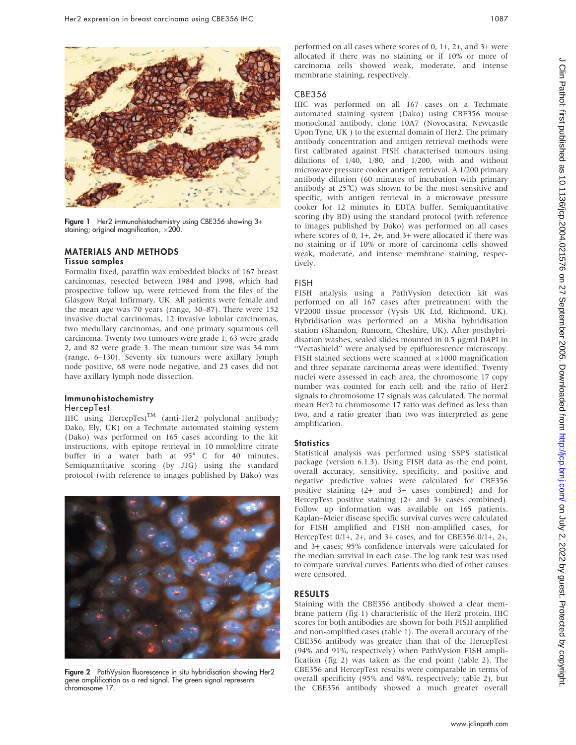

Figure 1 Her2 immunohistochemistry using CBE356 showing 3+ staining; original magnification,  $\times$ 200.

#### MATERIALS AND METHODS

#### Tissue samples

Formalin fixed, paraffin wax embedded blocks of 167 breast carcinomas, resected between 1984 and 1998, which had prospective follow up, were retrieved from the files of the Glasgow Royal Infirmary, UK. All patients were female and the mean age was 70 years (range, 30–87). There were 152 invasive ductal carcinomas, 12 invasive lobular carcinomas, two medullary carcinomas, and one primary squamous cell carcinoma. Twenty two tumours were grade 1, 63 were grade 2, and 82 were grade 3. The mean tumour size was 34 mm (range, 6–130). Seventy six tumours were axillary lymph node positive, 68 were node negative, and 23 cases did not have axillary lymph node dissection.

#### Immunohistochemistry

#### HercepTest

IHC using HercepTest<sup>TM</sup> (anti-Her2 polyclonal antibody; Dako, Ely, UK) on a Techmate automated staining system (Dako) was performed on 165 cases according to the kit instructions, with epitope retrieval in 10 mmol/litre citrate buffer in a water bath at 95° C for 40 minutes. Semiquantitative scoring (by JJG) using the standard protocol (with reference to images published by Dako) was



Figure 2 PathVysion fluorescence in situ hybridisation showing Her2 gene amplification as a red signal. The green signal represents chromosome 17.

performed on all cases where scores of 0, 1+, 2+, and 3+ were allocated if there was no staining or if 10% or more of carcinoma cells showed weak, moderate, and intense membrane staining, respectively.

#### CBE356

IHC was performed on all 167 cases on a Techmate automated staining system (Dako) using CBE356 mouse monoclonal antibody, clone 10A7 (Novocastra, Newcastle Upon Tyne, UK ) to the external domain of Her2. The primary antibody concentration and antigen retrieval methods were first calibrated against FISH characterised tumours using dilutions of 1/40, 1/80, and 1/200, with and without microwave pressure cooker antigen retrieval. A 1/200 primary antibody dilution (60 minutes of incubation with primary antibody at  $25^{\circ}$ C) was shown to be the most sensitive and specific, with antigen retrieval in a microwave pressure cooker for 12 minutes in EDTA buffer. Semiquantitative scoring (by BD) using the standard protocol (with reference to images published by Dako) was performed on all cases where scores of 0, 1+, 2+, and 3+ were allocated if there was no staining or if 10% or more of carcinoma cells showed weak, moderate, and intense membrane staining, respectively.

#### FISH

FISH analysis using a PathVysion detection kit was performed on all 167 cases after pretreatment with the VP2000 tissue processor (Vysis UK Ltd, Richmond, UK). Hybridisation was performed on a Misha hybridisation station (Shandon, Runcorn, Cheshire, UK). After posthybridisation washes, sealed slides mounted in 0.5 µg/ml DAPI in ''Vectashield'' were analysed by epifluorescence microscopy. FISH stained sections were scanned at  $\times1000$  magnification and three separate carcinoma areas were identified. Twenty nuclei were assessed in each area, the chromosome 17 copy number was counted for each cell, and the ratio of Her2 signals to chromosome 17 signals was calculated. The normal mean Her2 to chromosome 17 ratio was defined as less than two, and a ratio greater than two was interpreted as gene amplification.

#### **Statistics**

Statistical analysis was performed using SSPS statistical package (version 6.1.3). Using FISH data as the end point, overall accuracy, sensitivity, specificity, and positive and negative predictive values were calculated for CBE356 positive staining (2+ and 3+ cases combined) and for HercepTest positive staining (2+ and 3+ cases combined). Follow up information was available on 165 patients. Kaplan–Meier disease specific survival curves were calculated for FISH amplified and FISH non-amplified cases, for HercepTest 0/1+, 2+, and 3+ cases, and for CBE356 0/1+, 2+, and 3+ cases; 95% confidence intervals were calculated for the median survival in each case. The log rank test was used to compare survival curves. Patients who died of other causes were censored.

#### RESULTS

Staining with the CBE356 antibody showed a clear membrane pattern (fig 1) characteristic of the Her2 protein. IHC scores for both antibodies are shown for both FISH amplified and non-amplified cases (table 1). The overall accuracy of the CBE356 antibody was greater than that of the HercepTest (94% and 91%, respectively) when PathVysion FISH amplification (fig 2) was taken as the end point (table 2). The CBE356 and HercepTest results were comparable in terms of overall specificity (95% and 98%, respectively; table 2), but the CBE356 antibody showed a much greater overall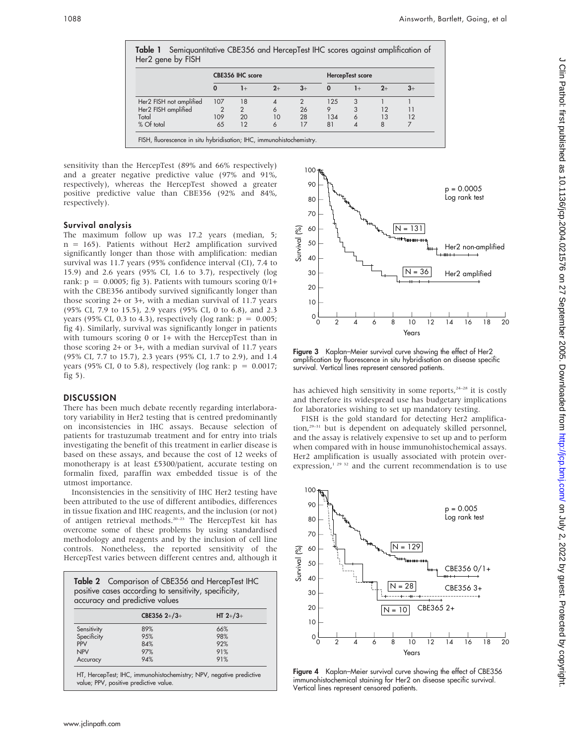|                         | CBE356 IHC score |                |      |               | HercepTest score |      |      |      |
|-------------------------|------------------|----------------|------|---------------|------------------|------|------|------|
|                         | $\Omega$         | $1+$           | $2+$ | $3+$          | $\bf{0}$         | $1+$ | $2+$ | $3+$ |
| Her2 FISH not amplified | 107              | 18             | 4    | $\mathcal{P}$ | 125              | 3    |      |      |
| Her2 FISH amplified     | $\overline{2}$   | $\overline{2}$ | 6    | 26            | 9                | 3    | 12   |      |
| Total                   | 109              | 20             | 10   | 28            | 134              | 6    | 13   | 12   |
| % Of total              | 65               | 12             | 6    | 17            | 81               |      | 8    |      |

sensitivity than the HercepTest (89% and 66% respectively) and a greater negative predictive value (97% and 91%, respectively), whereas the HercepTest showed a greater positive predictive value than CBE356 (92% and 84%, respectively).

## Survival analysis

The maximum follow up was 17.2 years (median, 5; n = 165). Patients without Her2 amplification survived significantly longer than those with amplification: median survival was 11.7 years (95% confidence interval (CI), 7.4 to 15.9) and 2.6 years (95% CI, 1.6 to 3.7), respectively (log rank:  $p = 0.0005$ ; fig 3). Patients with tumours scoring  $0/1+$ with the CBE356 antibody survived significantly longer than those scoring 2+ or 3+, with a median survival of 11.7 years (95% CI, 7.9 to 15.5), 2.9 years (95% CI, 0 to 6.8), and 2.3 years (95% CI, 0.3 to 4.3), respectively (log rank:  $p = 0.005$ ; fig 4). Similarly, survival was significantly longer in patients with tumours scoring 0 or 1+ with the HercepTest than in those scoring 2+ or 3+, with a median survival of 11.7 years (95% CI, 7.7 to 15.7), 2.3 years (95% CI, 1.7 to 2.9), and 1.4 years (95% CI, 0 to 5.8), respectively (log rank:  $p = 0.0017$ ; fig  $5$ ).

# **DISCUSSION**

There has been much debate recently regarding interlaboratory variability in Her2 testing that is centred predominantly on inconsistencies in IHC assays. Because selection of patients for trastuzumab treatment and for entry into trials investigating the benefit of this treatment in earlier disease is based on these assays, and because the cost of 12 weeks of monotherapy is at least £5300/patient, accurate testing on formalin fixed, paraffin wax embedded tissue is of the utmost importance.

Inconsistencies in the sensitivity of IHC Her2 testing have been attributed to the use of different antibodies, differences in tissue fixation and IHC reagents, and the inclusion (or not) of antigen retrieval methods.20–23 The HercepTest kit has overcome some of these problems by using standardised methodology and reagents and by the inclusion of cell line controls. Nonetheless, the reported sensitivity of the HercepTest varies between different centres and, although it

| Table 2 Comparison of CBE356 and HercepTest IHC<br>positive cases according to sensitivity, specificity,<br>accuracy and predictive values |                |            |  |  |
|--------------------------------------------------------------------------------------------------------------------------------------------|----------------|------------|--|--|
|                                                                                                                                            | CBE356 $2+/3+$ | HT $2+/3+$ |  |  |
| Sensitivity                                                                                                                                | 89%            | 66%        |  |  |
| Specificity                                                                                                                                | 95%            | 98%        |  |  |
| PPV                                                                                                                                        | 84%            | 92%        |  |  |
| <b>NPV</b>                                                                                                                                 | 97%            | 91%        |  |  |
| Accuracy                                                                                                                                   | 94%            | 91%        |  |  |

value; PPV, positive predictive value



Figure 3 Kaplan-Meier survival curve showing the effect of Her2 amplification by fluorescence in situ hybridisation on disease specific survival. Vertical lines represent censored patients.

has achieved high sensitivity in some reports, $24-28$  it is costly and therefore its widespread use has budgetary implications for laboratories wishing to set up mandatory testing.

FISH is the gold standard for detecting Her2 amplification,<sup>29-31</sup> but is dependent on adequately skilled personnel, and the assay is relatively expensive to set up and to perform when compared with in house immunohistochemical assays. Her2 amplification is usually associated with protein overexpression, $1^{29}$  32 and the current recommendation is to use



Figure 4 Kaplan–Meier survival curve showing the effect of CBE356 immunohistochemical staining for Her2 on disease specific survival. Vertical lines represent censored patients.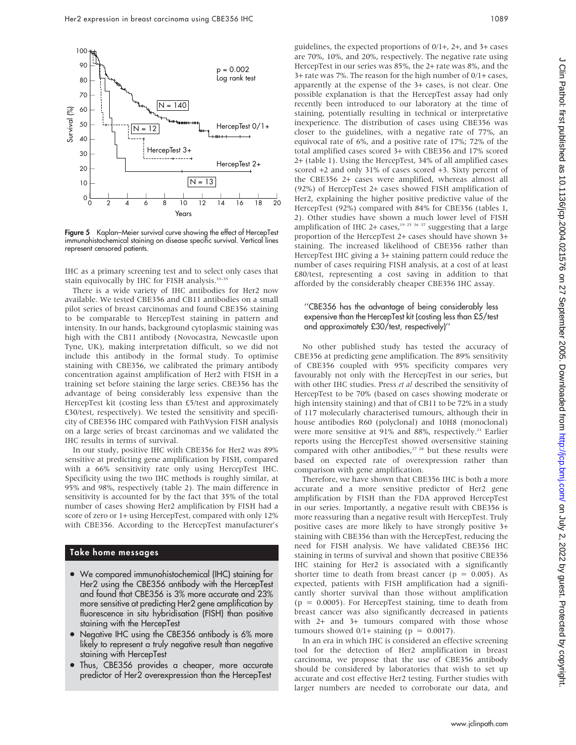

Figure 5 Kaplan-Meier survival curve showing the effect of HercepTest immunohistochemical staining on disease specific survival. Vertical lines represent censored patients.

IHC as a primary screening test and to select only cases that stain equivocally by IHC for FISH analysis.33–35

There is a wide variety of IHC antibodies for Her2 now available. We tested CBE356 and CB11 antibodies on a small pilot series of breast carcinomas and found CBE356 staining to be comparable to HercepTest staining in pattern and intensity. In our hands, background cytoplasmic staining was high with the CB11 antibody (Novocastra, Newcastle upon Tyne, UK), making interpretation difficult, so we did not include this antibody in the formal study. To optimise staining with CBE356, we calibrated the primary antibody concentration against amplification of Her2 with FISH in a training set before staining the large series. CBE356 has the advantage of being considerably less expensive than the HercepTest kit (costing less than £5/test and approximately £30/test, respectively). We tested the sensitivity and specificity of CBE356 IHC compared with PathVysion FISH analysis on a large series of breast carcinomas and we validated the IHC results in terms of survival.

In our study, positive IHC with CBE356 for Her2 was 89% sensitive at predicting gene amplification by FISH, compared with a 66% sensitivity rate only using HercepTest IHC. Specificity using the two IHC methods is roughly similar, at 95% and 98%, respectively (table 2). The main difference in sensitivity is accounted for by the fact that 35% of the total number of cases showing Her2 amplification by FISH had a score of zero or 1+ using HercepTest, compared with only 12% with CBE356. According to the HercepTest manufacturer's

#### Take home messages

- We compared immunohistochemical (IHC) staining for Her2 using the CBE356 antibody with the HercepTest and found that CBE356 is 3% more accurate and 23% more sensitive at predicting Her2 gene amplification by fluorescence in situ hybridisation (FISH) than positive staining with the HercepTest
- Negative IHC using the CBE356 antibody is 6% more likely to represent a truly negative result than negative staining with HercepTest
- Thus, CBE356 provides a cheaper, more accurate predictor of Her2 overexpression than the HercepTest

guidelines, the expected proportions of 0/1+, 2+, and 3+ cases are 70%, 10%, and 20%, respectively. The negative rate using HercepTest in our series was 85%, the 2+ rate was 8%, and the 3+ rate was 7%. The reason for the high number of 0/1+ cases, apparently at the expense of the 3+ cases, is not clear. One possible explanation is that the HercepTest assay had only recently been introduced to our laboratory at the time of staining, potentially resulting in technical or interpretative inexperience. The distribution of cases using CBE356 was closer to the guidelines, with a negative rate of 77%, an equivocal rate of 6%, and a positive rate of 17%; 72% of the total amplified cases scored 3+ with CBE356 and 17% scored 2+ (table 1). Using the HercepTest, 34% of all amplified cases scored +2 and only 31% of cases scored +3. Sixty percent of the CBE356 2+ cases were amplified, whereas almost all (92%) of HercepTest 2+ cases showed FISH amplification of Her2, explaining the higher positive predictive value of the HercepTest (92%) compared with 84% for CBE356 (tables 1, 2). Other studies have shown a much lower level of FISH amplification of IHC 2+ cases,<sup>19 25</sup> <sup>36</sup> <sup>37</sup> suggesting that a large proportion of the HercepTest 2+ cases should have shown 3+ staining. The increased likelihood of CBE356 rather than HercepTest IHC giving a 3+ staining pattern could reduce the number of cases requiring FISH analysis, at a cost of at least £80/test, representing a cost saving in addition to that afforded by the considerably cheaper CBE356 IHC assay.

#### ''CBE356 has the advantage of being considerably less expensive than the HercepTest kit (costing less than £5/test and approximately £30/test, respectively)''

No other published study has tested the accuracy of CBE356 at predicting gene amplification. The 89% sensitivity of CBE356 coupled with 95% specificity compares very favourably not only with the HercepTest in our series, but with other IHC studies. Press et al described the sensitivity of HercepTest to be 70% (based on cases showing moderate or high intensity staining) and that of CB11 to be 72% in a study of 117 molecularly characterised tumours, although their in house antibodies R60 (polyclonal) and 10H8 (monoclonal) were more sensitive at 91% and 88%, respectively.<sup>23</sup> Earlier reports using the HercepTest showed oversensitive staining compared with other antibodies,<sup>27 28</sup> but these results were based on expected rate of overexpression rather than comparison with gene amplification.

Therefore, we have shown that CBE356 IHC is both a more accurate and a more sensitive predictor of Her2 gene amplification by FISH than the FDA approved HercepTest in our series. Importantly, a negative result with CBE356 is more reassuring than a negative result with HercepTest. Truly positive cases are more likely to have strongly positive 3+ staining with CBE356 than with the HercepTest, reducing the need for FISH analysis. We have validated CBE356 IHC staining in terms of survival and shown that positive CBE356 IHC staining for Her2 is associated with a significantly shorter time to death from breast cancer ( $p = 0.005$ ). As expected, patients with FISH amplification had a significantly shorter survival than those without amplification  $(p = 0.0005)$ . For HercepTest staining, time to death from breast cancer was also significantly decreased in patients with 2+ and 3+ tumours compared with those whose tumours showed  $0/1+$  staining ( $p = 0.0017$ ).

In an era in which IHC is considered an effective screening tool for the detection of Her2 amplification in breast carcinoma, we propose that the use of CBE356 antibody should be considered by laboratories that wish to set up accurate and cost effective Her2 testing. Further studies with larger numbers are needed to corroborate our data, and